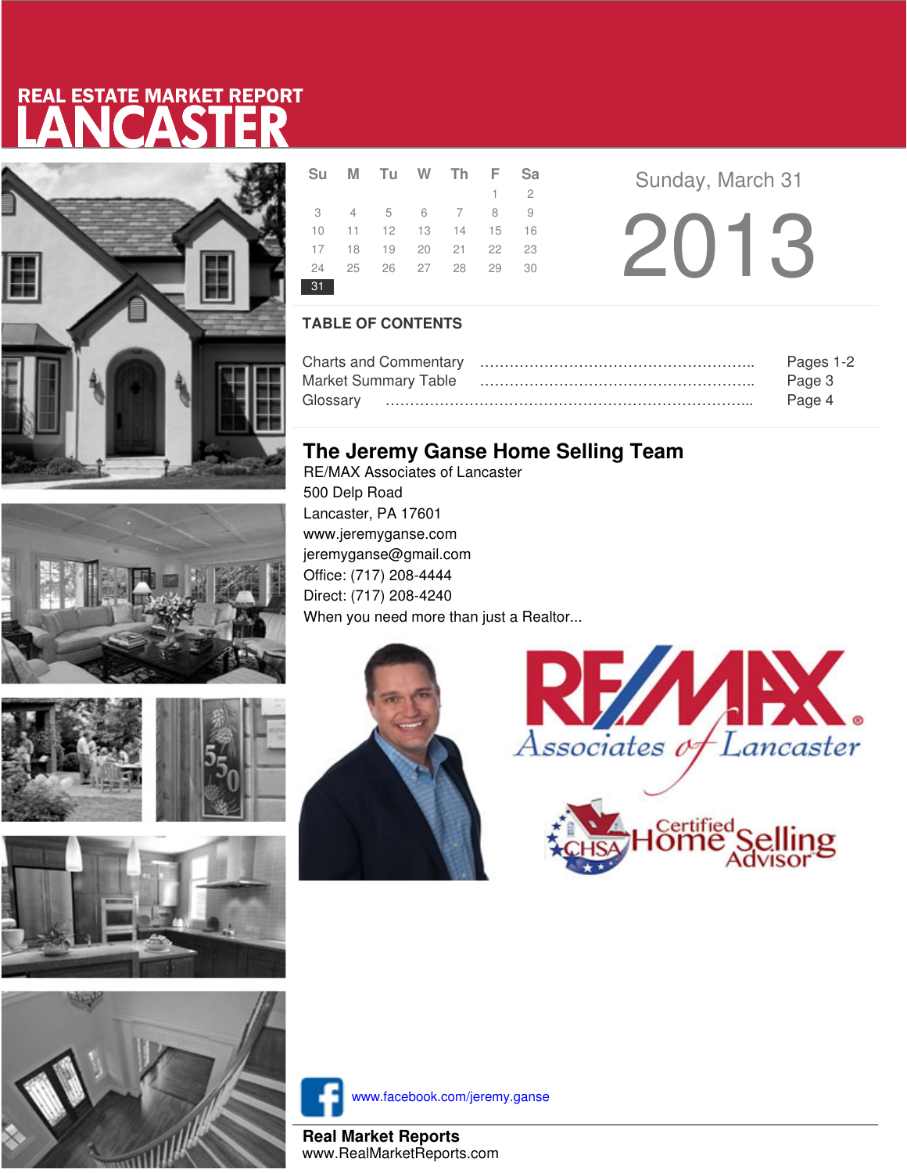# LANCASTER REAL ESTATE MARKET REPORT











|    | Su M Tu W Th F Sa                |  |             |  |
|----|----------------------------------|--|-------------|--|
|    |                                  |  | $1 \quad 2$ |  |
|    | 3 4 5 6 7 8 9                    |  |             |  |
|    | 10 11 12 13 14 15 16             |  |             |  |
|    | 17 18 19 20 21 22 23             |  |             |  |
|    | 24   25   26   27   28   29   30 |  |             |  |
| 31 |                                  |  |             |  |

**Sunday, March 31** 2013

### **TABLE OF CONTENTS**

|                             | Pages 1-2 |
|-----------------------------|-----------|
| <b>Market Summary Table</b> | Page 3    |
|                             | Page 4    |

## **The Jeremy Ganse Home Selling Team**

RE/MAX Associates of Lancaster 500 Delp Road Lancaster, PA 17601 www.jeremyganse.com jeremyganse@gmail.com Office: (717) 208-4444 Direct: (717) 208-4240 When you need more than just a Realtor...







www.facebook.com/jeremy.ganse

**Real Market Reports** www.RealMarketReports.com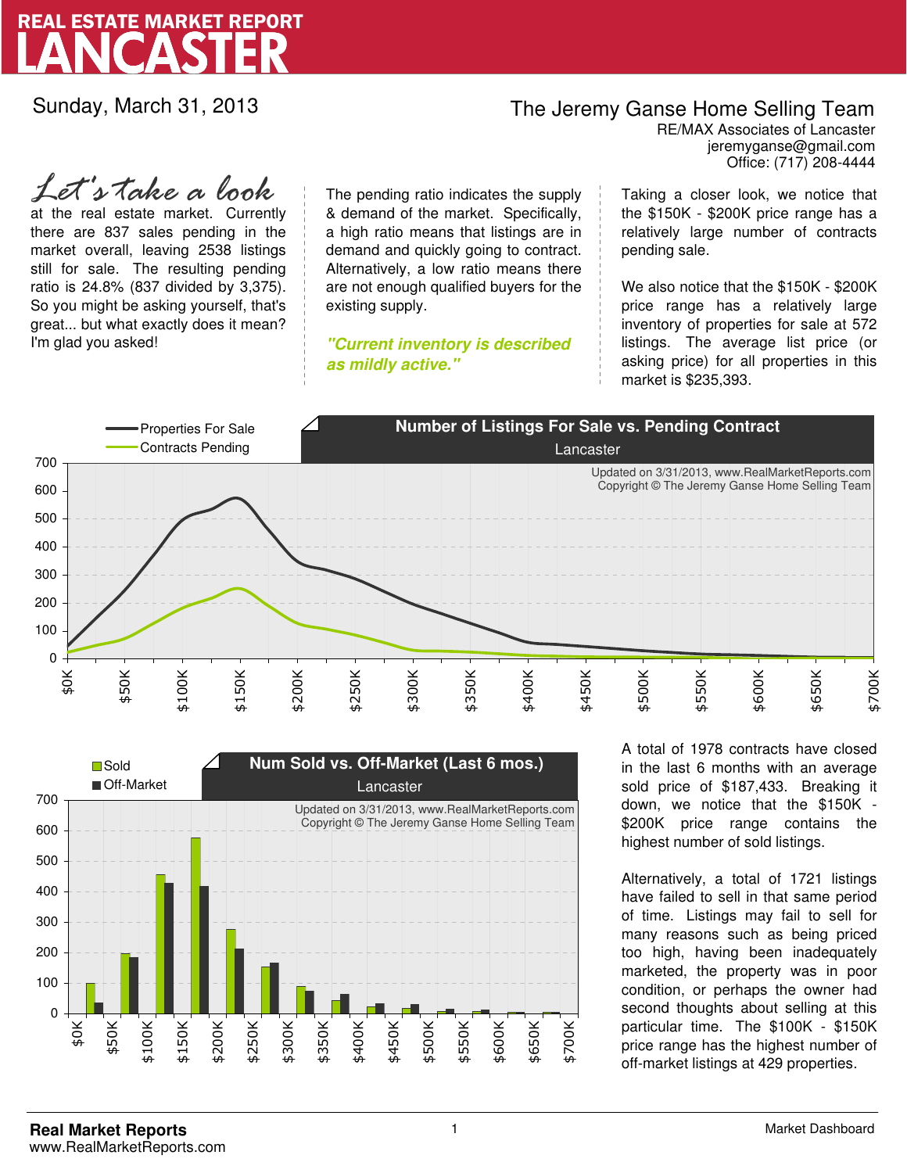

Sunday, March 31, 2013

## The Jeremy Ganse Home Selling Team

jeremyganse@gmail.com RE/MAX Associates of Lancaster Office: (717) 208-4444

at the real estate market. Currently there are 837 sales pending in the market overall, leaving 2538 listings still for sale. The resulting pending ratio is 24.8% (837 divided by 3,375). So you might be asking yourself, that's great... but what exactly does it mean? I'm glad you asked! *Let's take a look*

The pending ratio indicates the supply & demand of the market. Specifically, a high ratio means that listings are in demand and quickly going to contract. Alternatively, a low ratio means there are not enough qualified buyers for the existing supply.

**"Current inventory is described as mildly active."**

Taking a closer look, we notice that the \$150K - \$200K price range has a relatively large number of contracts pending sale.

We also notice that the \$150K - \$200K price range has a relatively large inventory of properties for sale at 572 listings. The average list price (or asking price) for all properties in this market is \$235,393.





A total of 1978 contracts have closed in the last 6 months with an average sold price of \$187,433. Breaking it down, we notice that the \$150K - \$200K price range contains the highest number of sold listings.

Alternatively, a total of 1721 listings have failed to sell in that same period of time. Listings may fail to sell for many reasons such as being priced too high, having been inadequately marketed, the property was in poor condition, or perhaps the owner had second thoughts about selling at this particular time. The \$100K - \$150K price range has the highest number of off-market listings at 429 properties.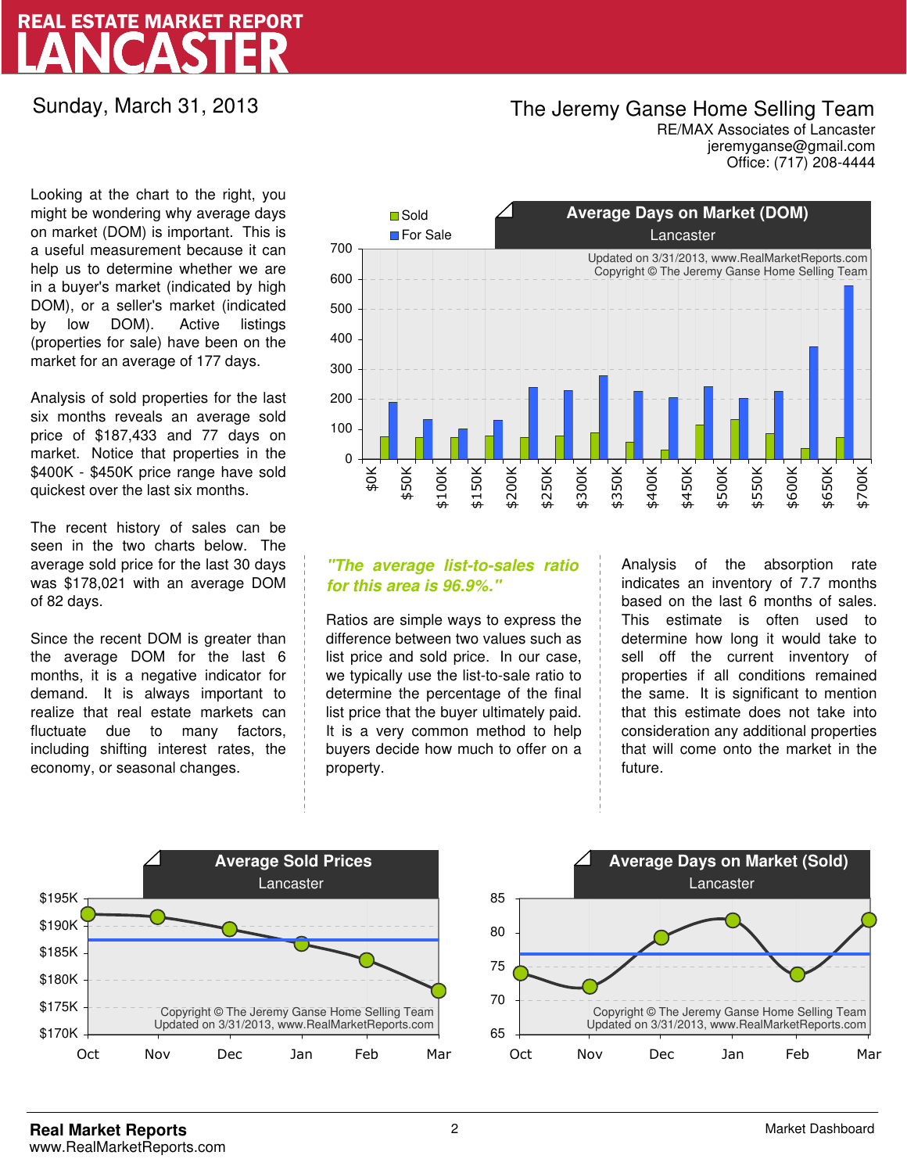# LANCASTER REAL ESTATE MARKET REPORT

Sunday, March 31, 2013

### The Jeremy Ganse Home Selling Team

jeremyganse@gmail.com RE/MAX Associates of Lancaster Office: (717) 208-4444

Looking at the chart to the right, you might be wondering why average days on market (DOM) is important. This is a useful measurement because it can help us to determine whether we are in a buyer's market (indicated by high DOM), or a seller's market (indicated by low DOM). Active listings (properties for sale) have been on the market for an average of 177 days.

Analysis of sold properties for the last six months reveals an average sold price of \$187,433 and 77 days on market. Notice that properties in the \$400K - \$450K price range have sold quickest over the last six months.

The recent history of sales can be seen in the two charts below. The average sold price for the last 30 days was \$178,021 with an average DOM of 82 days.

Since the recent DOM is greater than the average DOM for the last 6 months, it is a negative indicator for demand. It is always important to realize that real estate markets can fluctuate due to many factors, including shifting interest rates, the economy, or seasonal changes.



### **"The average list-to-sales ratio for this area is 96.9%."**

Ratios are simple ways to express the difference between two values such as list price and sold price. In our case, we typically use the list-to-sale ratio to determine the percentage of the final list price that the buyer ultimately paid. It is a very common method to help buyers decide how much to offer on a property.

Analysis of the absorption rate indicates an inventory of 7.7 months based on the last 6 months of sales. This estimate is often used to determine how long it would take to sell off the current inventory of properties if all conditions remained the same. It is significant to mention that this estimate does not take into consideration any additional properties that will come onto the market in the future.



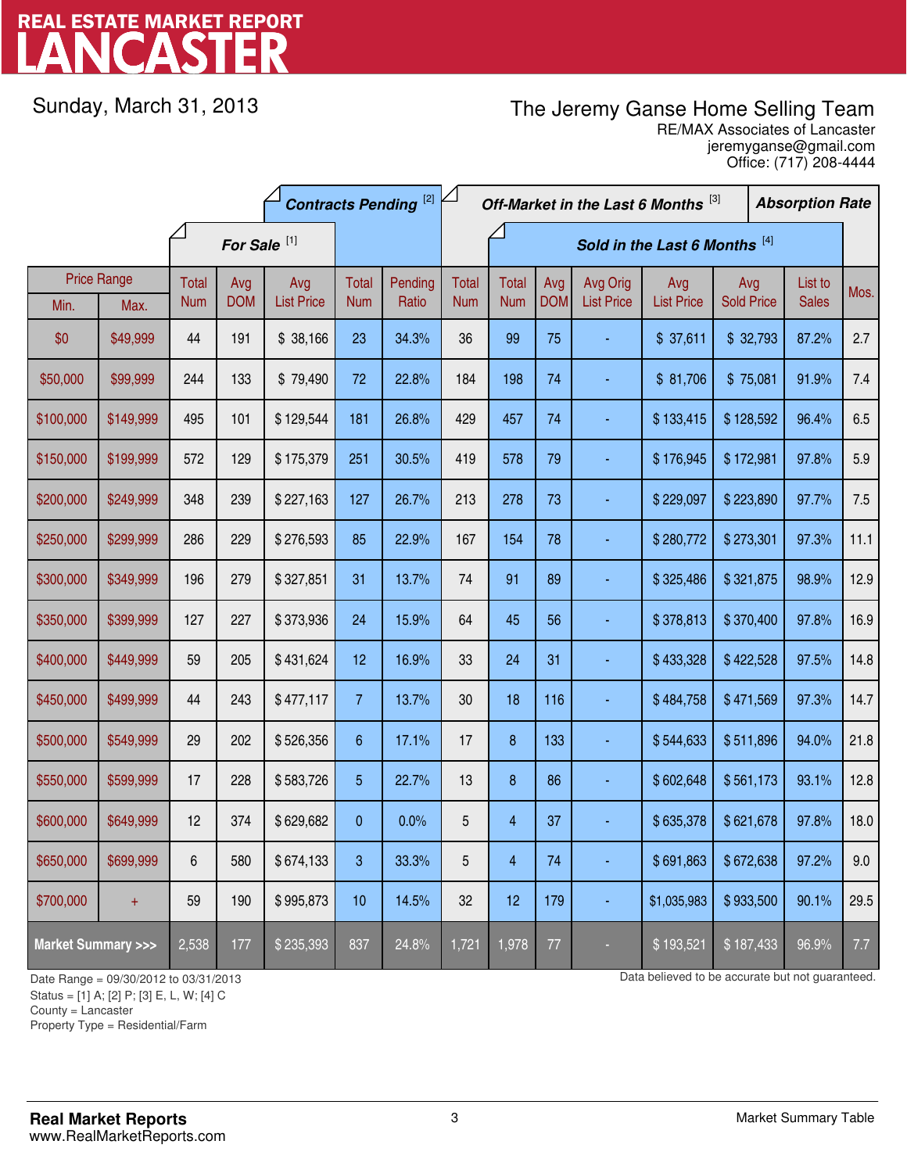# LANCASTER REAL ESTATE MARKET REPORT

Sunday, March 31, 2013

## The Jeremy Ganse Home Selling Team

jeremyganse@gmail.com RE/MAX Associates of Lancaster Office: (717) 208-4444

|                                    |                    | <b>Contracts Pending [2]</b> |            |                   |                | Off-Market in the Last 6 Months [3] |              |                |            |                   | <b>Absorption Rate</b> |                   |  |              |      |
|------------------------------------|--------------------|------------------------------|------------|-------------------|----------------|-------------------------------------|--------------|----------------|------------|-------------------|------------------------|-------------------|--|--------------|------|
|                                    |                    | For Sale <sup>[1]</sup>      |            |                   |                | Sold in the Last 6 Months [4]       |              |                |            |                   |                        |                   |  |              |      |
|                                    | <b>Price Range</b> | Total                        | Avg        | Avg               | <b>Total</b>   | Pending                             | <b>Total</b> | <b>Total</b>   | Avg        | Avg Orig          | Avg                    | Avg               |  | List to      | Mos. |
| Min.                               | Max.               | <b>Num</b>                   | <b>DOM</b> | <b>List Price</b> | <b>Num</b>     | Ratio                               | <b>Num</b>   | <b>Num</b>     | <b>DOM</b> | <b>List Price</b> | <b>List Price</b>      | <b>Sold Price</b> |  | <b>Sales</b> |      |
| \$0                                | \$49,999           | 44                           | 191        | \$38,166          | 23             | 34.3%                               | 36           | 99             | 75         |                   | \$37,611               | \$32,793          |  | 87.2%        | 2.7  |
| \$50,000                           | \$99,999           | 244                          | 133        | \$79,490          | 72             | 22.8%                               | 184          | 198            | 74         |                   | \$81,706               | \$75,081          |  | 91.9%        | 7.4  |
| \$100,000                          | \$149,999          | 495                          | 101        | \$129,544         | 181            | 26.8%                               | 429          | 457            | 74         |                   | \$133,415              | \$128,592         |  | 96.4%        | 6.5  |
| \$150,000                          | \$199,999          | 572                          | 129        | \$175,379         | 251            | 30.5%                               | 419          | 578            | 79         |                   | \$176,945              | \$172,981         |  | 97.8%        | 5.9  |
| \$200,000                          | \$249,999          | 348                          | 239        | \$227,163         | 127            | 26.7%                               | 213          | 278            | 73         |                   | \$229,097              | \$223,890         |  | 97.7%        | 7.5  |
| \$250,000                          | \$299,999          | 286                          | 229        | \$276,593         | 85             | 22.9%                               | 167          | 154            | 78         |                   | \$280,772              | \$273,301         |  | 97.3%        | 11.1 |
| \$300,000                          | \$349,999          | 196                          | 279        | \$327,851         | 31             | 13.7%                               | 74           | 91             | 89         |                   | \$325,486              | \$321,875         |  | 98.9%        | 12.9 |
| \$350,000                          | \$399,999          | 127                          | 227        | \$373,936         | 24             | 15.9%                               | 64           | 45             | 56         |                   | \$378,813              | \$370,400         |  | 97.8%        | 16.9 |
| \$400,000                          | \$449,999          | 59                           | 205        | \$431,624         | 12             | 16.9%                               | 33           | 24             | 31         |                   | \$433,328              | \$422,528         |  | 97.5%        | 14.8 |
| \$450,000                          | \$499,999          | 44                           | 243        | \$477,117         | $\overline{7}$ | 13.7%                               | 30           | 18             | 116        |                   | \$484,758              | \$471,569         |  | 97.3%        | 14.7 |
| \$500,000                          | \$549,999          | 29                           | 202        | \$526,356         | 6              | 17.1%                               | 17           | 8              | 133        |                   | \$544,633              | \$511,896         |  | 94.0%        | 21.8 |
| \$550,000                          | \$599,999          | 17                           | 228        | \$583,726         | 5              | 22.7%                               | 13           | 8              | 86         |                   | \$602,648              | \$561,173         |  | 93.1%        | 12.8 |
| \$600,000                          | \$649,999          | 12                           | 374        | \$629,682         | 0              | 0.0%                                | 5            | $\overline{4}$ | 37         |                   | \$635,378              | \$621,678         |  | 97.8%        | 18.0 |
| \$650,000                          | \$699,999          | 6                            | 580        | \$674,133         | 3              | 33.3%                               | 5            | 4              | 74         |                   | \$691,863              | \$672,638         |  | 97.2%        | 9.0  |
| \$700,000                          | $\ddot{}$          | 59                           | 190        | \$995,873         | 10             | 14.5%                               | 32           | 12             | 179        | ٠                 | \$1,035,983            | \$933,500         |  | 90.1%        | 29.5 |
| <b>Market Summary &gt;&gt;&gt;</b> |                    | 2,538                        | 177        | \$235,393         | 837            | 24.8%                               | 1,721        | 1,978          | 77         |                   | \$193,521              | \$187,433         |  | 96.9%        | 7.7  |

Status = [1] A; [2] P; [3] E, L, W; [4] C

County = Lancaster

1

Property Type = Residential/Farm

Date Range = 09/30/2012 to 03/31/2013 Data believed to be accurate but not guaranteed.